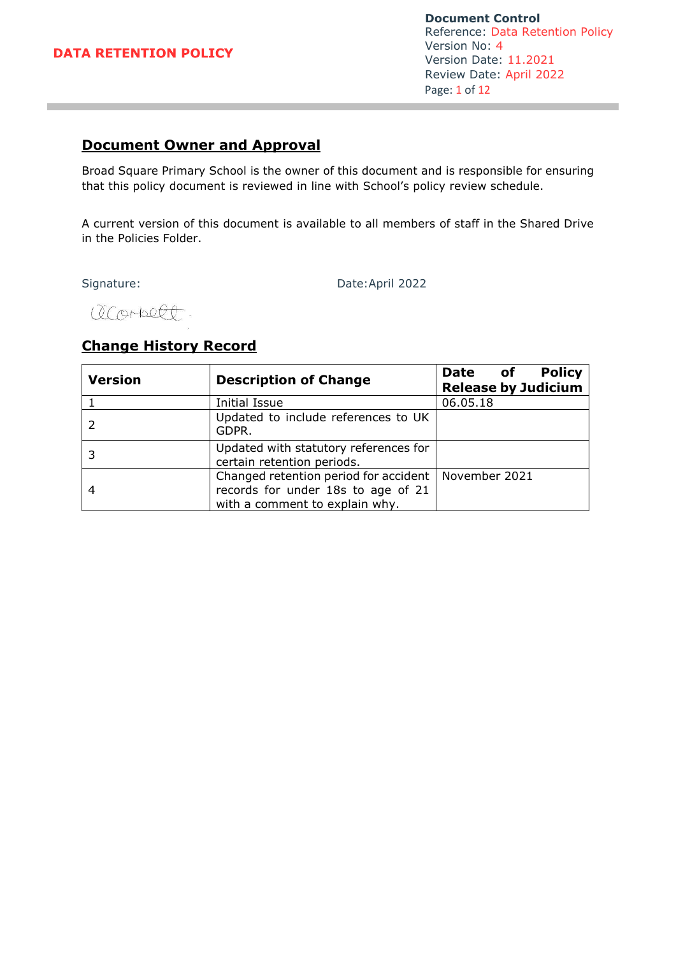**Document Control** Reference: Data Retention Policy Version No: 4 Version Date: 11.2021 Review Date: April 2022 Page: 1 of 12

# **Document Owner and Approval**

Broad Square Primary School is the owner of this document and is responsible for ensuring that this policy document is reviewed in line with School's policy review schedule.

A current version of this document is available to all members of staff in the Shared Drive in the Policies Folder.

Signature: Date:April 2022

acorbect

# **Change History Record**

| <b>Version</b> | <b>Description of Change</b>                                                                                  | <b>Policy</b><br>Date of<br><b>Release by Judicium</b> |
|----------------|---------------------------------------------------------------------------------------------------------------|--------------------------------------------------------|
|                | <b>Initial Issue</b>                                                                                          | 06.05.18                                               |
|                | Updated to include references to UK<br>GDPR.                                                                  |                                                        |
|                | Updated with statutory references for<br>certain retention periods.                                           |                                                        |
|                | Changed retention period for accident<br>records for under 18s to age of 21<br>with a comment to explain why. | November 2021                                          |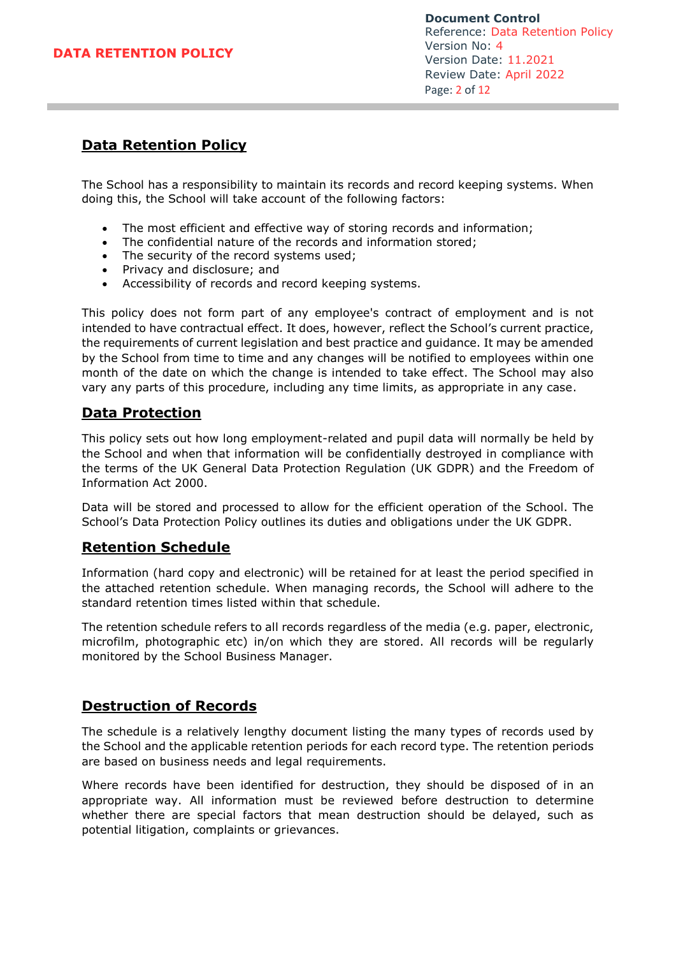# **Data Retention Policy**

The School has a responsibility to maintain its records and record keeping systems. When doing this, the School will take account of the following factors:

- The most efficient and effective way of storing records and information;
- The confidential nature of the records and information stored;
- The security of the record systems used:
- Privacy and disclosure; and
- Accessibility of records and record keeping systems.

This policy does not form part of any employee's contract of employment and is not intended to have contractual effect. It does, however, reflect the School's current practice, the requirements of current legislation and best practice and guidance. It may be amended by the School from time to time and any changes will be notified to employees within one month of the date on which the change is intended to take effect. The School may also vary any parts of this procedure, including any time limits, as appropriate in any case.

# **Data Protection**

This policy sets out how long employment-related and pupil data will normally be held by the School and when that information will be confidentially destroyed in compliance with the terms of the UK General Data Protection Regulation (UK GDPR) and the Freedom of Information Act 2000.

Data will be stored and processed to allow for the efficient operation of the School. The School's Data Protection Policy outlines its duties and obligations under the UK GDPR.

# **Retention Schedule**

Information (hard copy and electronic) will be retained for at least the period specified in the attached retention schedule. When managing records, the School will adhere to the standard retention times listed within that schedule.

The retention schedule refers to all records regardless of the media (e.g. paper, electronic, microfilm, photographic etc) in/on which they are stored. All records will be regularly monitored by the School Business Manager.

# **Destruction of Records**

The schedule is a relatively lengthy document listing the many types of records used by the School and the applicable retention periods for each record type. The retention periods are based on business needs and legal requirements.

Where records have been identified for destruction, they should be disposed of in an appropriate way. All information must be reviewed before destruction to determine whether there are special factors that mean destruction should be delayed, such as potential litigation, complaints or grievances.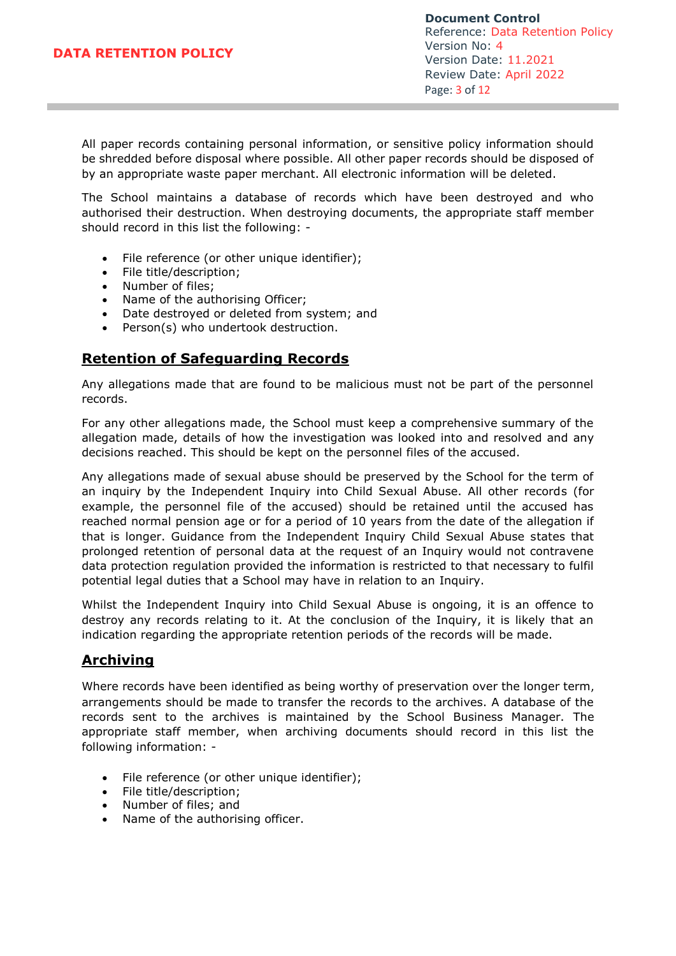**Document Control** Reference: Data Retention Policy Version No: 4 Version Date: 11.2021 Review Date: April 2022 Page: 3 of 12

All paper records containing personal information, or sensitive policy information should be shredded before disposal where possible. All other paper records should be disposed of by an appropriate waste paper merchant. All electronic information will be deleted.

The School maintains a database of records which have been destroyed and who authorised their destruction. When destroying documents, the appropriate staff member should record in this list the following: -

- File reference (or other unique identifier);
- File title/description;<br>• Number of files:
- Number of files;
- Name of the authorising Officer;
- Date destroyed or deleted from system; and
- Person(s) who undertook destruction.

## **Retention of Safeguarding Records**

Any allegations made that are found to be malicious must not be part of the personnel records.

For any other allegations made, the School must keep a comprehensive summary of the allegation made, details of how the investigation was looked into and resolved and any decisions reached. This should be kept on the personnel files of the accused.

Any allegations made of sexual abuse should be preserved by the School for the term of an inquiry by the Independent Inquiry into Child Sexual Abuse. All other records (for example, the personnel file of the accused) should be retained until the accused has reached normal pension age or for a period of 10 years from the date of the allegation if that is longer. Guidance from the Independent Inquiry Child Sexual Abuse states that prolonged retention of personal data at the request of an Inquiry would not contravene data protection regulation provided the information is restricted to that necessary to fulfil potential legal duties that a School may have in relation to an Inquiry.

Whilst the Independent Inquiry into Child Sexual Abuse is ongoing, it is an offence to destroy any records relating to it. At the conclusion of the Inquiry, it is likely that an indication regarding the appropriate retention periods of the records will be made.

# **Archiving**

Where records have been identified as being worthy of preservation over the longer term, arrangements should be made to transfer the records to the archives. A database of the records sent to the archives is maintained by the School Business Manager. The appropriate staff member, when archiving documents should record in this list the following information: -

- File reference (or other unique identifier);
- File title/description;
- Number of files; and
- Name of the authorising officer.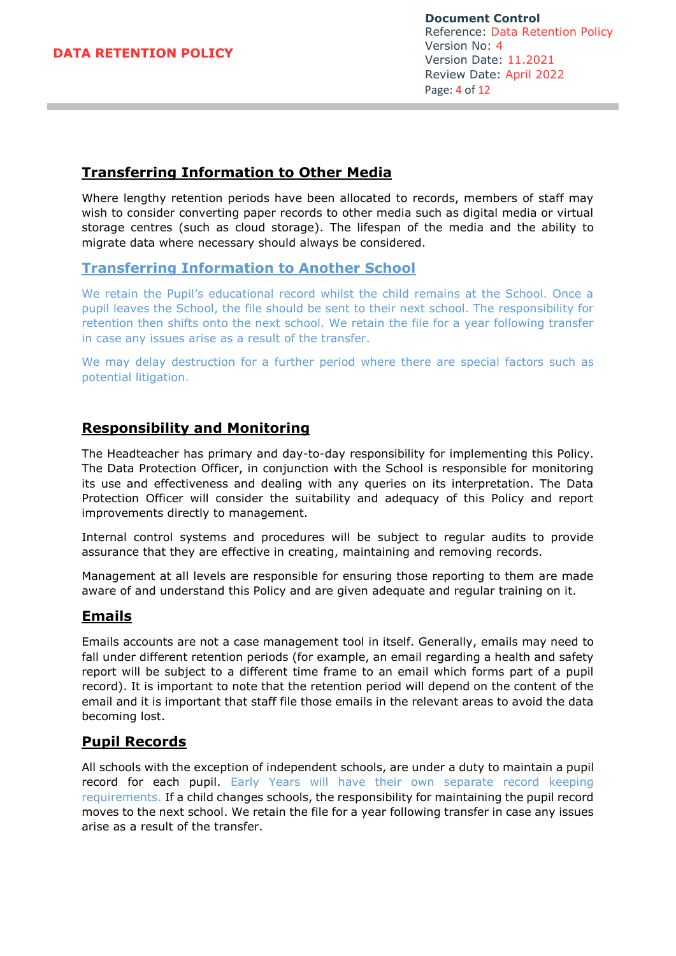## **Transferring Information to Other Media**

Where lengthy retention periods have been allocated to records, members of staff may wish to consider converting paper records to other media such as digital media or virtual storage centres (such as cloud storage). The lifespan of the media and the ability to migrate data where necessary should always be considered.

## **Transferring Information to Another School**

We retain the Pupil's educational record whilst the child remains at the School. Once a pupil leaves the School, the file should be sent to their next school. The responsibility for retention then shifts onto the next school. We retain the file for a year following transfer in case any issues arise as a result of the transfer.

We may delay destruction for a further period where there are special factors such as potential litigation.

## **Responsibility and Monitoring**

The Headteacher has primary and day-to-day responsibility for implementing this Policy. The Data Protection Officer, in conjunction with the School is responsible for monitoring its use and effectiveness and dealing with any queries on its interpretation. The Data Protection Officer will consider the suitability and adequacy of this Policy and report improvements directly to management.

Internal control systems and procedures will be subject to regular audits to provide assurance that they are effective in creating, maintaining and removing records.

Management at all levels are responsible for ensuring those reporting to them are made aware of and understand this Policy and are given adequate and regular training on it.

## **Emails**

Emails accounts are not a case management tool in itself. Generally, emails may need to fall under different retention periods (for example, an email regarding a health and safety report will be subject to a different time frame to an email which forms part of a pupil record). It is important to note that the retention period will depend on the content of the email and it is important that staff file those emails in the relevant areas to avoid the data becoming lost.

# **Pupil Records**

All schools with the exception of independent schools, are under a duty to maintain a pupil record for each pupil. Early Years will have their own separate record keeping requirements. If a child changes schools, the responsibility for maintaining the pupil record moves to the next school. We retain the file for a year following transfer in case any issues arise as a result of the transfer.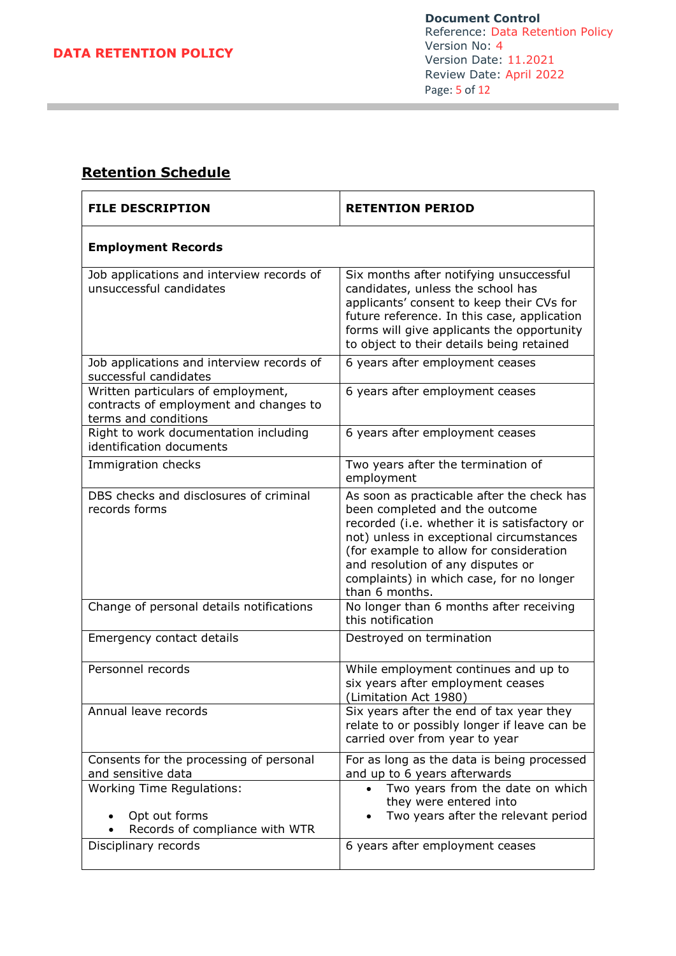# **Retention Schedule**

| <b>FILE DESCRIPTION</b>                                                                              | <b>RETENTION PERIOD</b>                                                                                                                                                                                                                                                                                                |
|------------------------------------------------------------------------------------------------------|------------------------------------------------------------------------------------------------------------------------------------------------------------------------------------------------------------------------------------------------------------------------------------------------------------------------|
| <b>Employment Records</b>                                                                            |                                                                                                                                                                                                                                                                                                                        |
| Job applications and interview records of<br>unsuccessful candidates                                 | Six months after notifying unsuccessful<br>candidates, unless the school has<br>applicants' consent to keep their CVs for<br>future reference. In this case, application<br>forms will give applicants the opportunity<br>to object to their details being retained                                                    |
| Job applications and interview records of<br>successful candidates                                   | 6 years after employment ceases                                                                                                                                                                                                                                                                                        |
| Written particulars of employment,<br>contracts of employment and changes to<br>terms and conditions | 6 years after employment ceases                                                                                                                                                                                                                                                                                        |
| Right to work documentation including<br>identification documents                                    | 6 years after employment ceases                                                                                                                                                                                                                                                                                        |
| Immigration checks                                                                                   | Two years after the termination of<br>employment                                                                                                                                                                                                                                                                       |
| DBS checks and disclosures of criminal<br>records forms                                              | As soon as practicable after the check has<br>been completed and the outcome<br>recorded (i.e. whether it is satisfactory or<br>not) unless in exceptional circumstances<br>(for example to allow for consideration<br>and resolution of any disputes or<br>complaints) in which case, for no longer<br>than 6 months. |
| Change of personal details notifications                                                             | No longer than 6 months after receiving<br>this notification                                                                                                                                                                                                                                                           |
| Emergency contact details                                                                            | Destroyed on termination                                                                                                                                                                                                                                                                                               |
| Personnel records                                                                                    | While employment continues and up to<br>six years after employment ceases<br>(Limitation Act 1980)                                                                                                                                                                                                                     |
| Annual leave records                                                                                 | Six years after the end of tax year they<br>relate to or possibly longer if leave can be<br>carried over from year to year                                                                                                                                                                                             |
| Consents for the processing of personal<br>and sensitive data                                        | For as long as the data is being processed<br>and up to 6 years afterwards                                                                                                                                                                                                                                             |
| <b>Working Time Regulations:</b><br>Opt out forms<br>Records of compliance with WTR                  | Two years from the date on which<br>they were entered into<br>Two years after the relevant period                                                                                                                                                                                                                      |
| Disciplinary records                                                                                 | 6 years after employment ceases                                                                                                                                                                                                                                                                                        |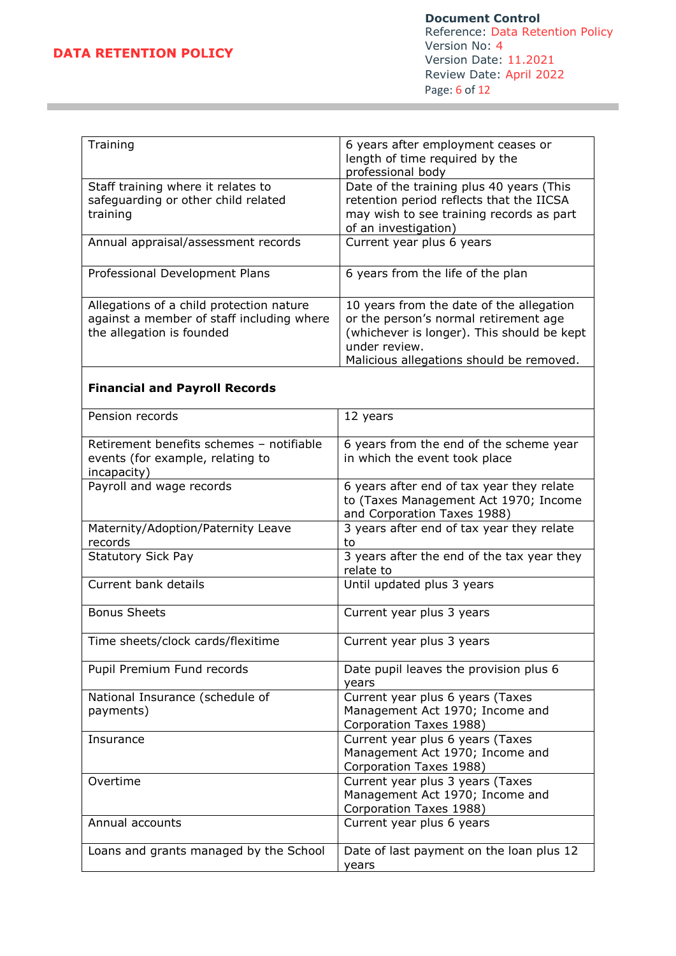| 6 years after employment ceases or<br>Training<br>length of time required by the<br>professional body<br>Date of the training plus 40 years (This<br>Staff training where it relates to<br>retention period reflects that the IICSA<br>safeguarding or other child related<br>may wish to see training records as part<br>training<br>of an investigation)<br>Current year plus 6 years<br>Annual appraisal/assessment records<br>Professional Development Plans<br>6 years from the life of the plan<br>Allegations of a child protection nature<br>10 years from the date of the allegation<br>against a member of staff including where<br>or the person's normal retirement age<br>the allegation is founded<br>(whichever is longer). This should be kept<br>under review.<br>Malicious allegations should be removed.<br><b>Financial and Payroll Records</b><br>Pension records<br>12 years<br>Retirement benefits schemes - notifiable<br>6 years from the end of the scheme year<br>events (for example, relating to<br>in which the event took place<br>incapacity)<br>Payroll and wage records<br>6 years after end of tax year they relate<br>to (Taxes Management Act 1970; Income<br>and Corporation Taxes 1988)<br>3 years after end of tax year they relate<br>Maternity/Adoption/Paternity Leave<br>records<br>to<br>3 years after the end of the tax year they<br><b>Statutory Sick Pay</b><br>relate to<br>Current bank details<br>Until updated plus 3 years<br><b>Bonus Sheets</b><br>Current year plus 3 years<br>Time sheets/clock cards/flexitime<br>Current year plus 3 years<br>Pupil Premium Fund records<br>Date pupil leaves the provision plus 6<br>years<br>Current year plus 6 years (Taxes<br>National Insurance (schedule of<br>Management Act 1970; Income and<br>payments)<br>Corporation Taxes 1988)<br>Current year plus 6 years (Taxes<br>Insurance<br>Management Act 1970; Income and<br>Corporation Taxes 1988)<br>Overtime<br>Current year plus 3 years (Taxes<br>Management Act 1970; Income and<br>Corporation Taxes 1988)<br>Annual accounts<br>Current year plus 6 years<br>Date of last payment on the loan plus 12<br>Loans and grants managed by the School<br>years |  |
|-----------------------------------------------------------------------------------------------------------------------------------------------------------------------------------------------------------------------------------------------------------------------------------------------------------------------------------------------------------------------------------------------------------------------------------------------------------------------------------------------------------------------------------------------------------------------------------------------------------------------------------------------------------------------------------------------------------------------------------------------------------------------------------------------------------------------------------------------------------------------------------------------------------------------------------------------------------------------------------------------------------------------------------------------------------------------------------------------------------------------------------------------------------------------------------------------------------------------------------------------------------------------------------------------------------------------------------------------------------------------------------------------------------------------------------------------------------------------------------------------------------------------------------------------------------------------------------------------------------------------------------------------------------------------------------------------------------------------------------------------------------------------------------------------------------------------------------------------------------------------------------------------------------------------------------------------------------------------------------------------------------------------------------------------------------------------------------------------------------------------------------------------------------------------------------------------------------------------|--|
|                                                                                                                                                                                                                                                                                                                                                                                                                                                                                                                                                                                                                                                                                                                                                                                                                                                                                                                                                                                                                                                                                                                                                                                                                                                                                                                                                                                                                                                                                                                                                                                                                                                                                                                                                                                                                                                                                                                                                                                                                                                                                                                                                                                                                       |  |
|                                                                                                                                                                                                                                                                                                                                                                                                                                                                                                                                                                                                                                                                                                                                                                                                                                                                                                                                                                                                                                                                                                                                                                                                                                                                                                                                                                                                                                                                                                                                                                                                                                                                                                                                                                                                                                                                                                                                                                                                                                                                                                                                                                                                                       |  |
|                                                                                                                                                                                                                                                                                                                                                                                                                                                                                                                                                                                                                                                                                                                                                                                                                                                                                                                                                                                                                                                                                                                                                                                                                                                                                                                                                                                                                                                                                                                                                                                                                                                                                                                                                                                                                                                                                                                                                                                                                                                                                                                                                                                                                       |  |
|                                                                                                                                                                                                                                                                                                                                                                                                                                                                                                                                                                                                                                                                                                                                                                                                                                                                                                                                                                                                                                                                                                                                                                                                                                                                                                                                                                                                                                                                                                                                                                                                                                                                                                                                                                                                                                                                                                                                                                                                                                                                                                                                                                                                                       |  |
|                                                                                                                                                                                                                                                                                                                                                                                                                                                                                                                                                                                                                                                                                                                                                                                                                                                                                                                                                                                                                                                                                                                                                                                                                                                                                                                                                                                                                                                                                                                                                                                                                                                                                                                                                                                                                                                                                                                                                                                                                                                                                                                                                                                                                       |  |
|                                                                                                                                                                                                                                                                                                                                                                                                                                                                                                                                                                                                                                                                                                                                                                                                                                                                                                                                                                                                                                                                                                                                                                                                                                                                                                                                                                                                                                                                                                                                                                                                                                                                                                                                                                                                                                                                                                                                                                                                                                                                                                                                                                                                                       |  |
|                                                                                                                                                                                                                                                                                                                                                                                                                                                                                                                                                                                                                                                                                                                                                                                                                                                                                                                                                                                                                                                                                                                                                                                                                                                                                                                                                                                                                                                                                                                                                                                                                                                                                                                                                                                                                                                                                                                                                                                                                                                                                                                                                                                                                       |  |
|                                                                                                                                                                                                                                                                                                                                                                                                                                                                                                                                                                                                                                                                                                                                                                                                                                                                                                                                                                                                                                                                                                                                                                                                                                                                                                                                                                                                                                                                                                                                                                                                                                                                                                                                                                                                                                                                                                                                                                                                                                                                                                                                                                                                                       |  |
|                                                                                                                                                                                                                                                                                                                                                                                                                                                                                                                                                                                                                                                                                                                                                                                                                                                                                                                                                                                                                                                                                                                                                                                                                                                                                                                                                                                                                                                                                                                                                                                                                                                                                                                                                                                                                                                                                                                                                                                                                                                                                                                                                                                                                       |  |
|                                                                                                                                                                                                                                                                                                                                                                                                                                                                                                                                                                                                                                                                                                                                                                                                                                                                                                                                                                                                                                                                                                                                                                                                                                                                                                                                                                                                                                                                                                                                                                                                                                                                                                                                                                                                                                                                                                                                                                                                                                                                                                                                                                                                                       |  |
|                                                                                                                                                                                                                                                                                                                                                                                                                                                                                                                                                                                                                                                                                                                                                                                                                                                                                                                                                                                                                                                                                                                                                                                                                                                                                                                                                                                                                                                                                                                                                                                                                                                                                                                                                                                                                                                                                                                                                                                                                                                                                                                                                                                                                       |  |
|                                                                                                                                                                                                                                                                                                                                                                                                                                                                                                                                                                                                                                                                                                                                                                                                                                                                                                                                                                                                                                                                                                                                                                                                                                                                                                                                                                                                                                                                                                                                                                                                                                                                                                                                                                                                                                                                                                                                                                                                                                                                                                                                                                                                                       |  |
|                                                                                                                                                                                                                                                                                                                                                                                                                                                                                                                                                                                                                                                                                                                                                                                                                                                                                                                                                                                                                                                                                                                                                                                                                                                                                                                                                                                                                                                                                                                                                                                                                                                                                                                                                                                                                                                                                                                                                                                                                                                                                                                                                                                                                       |  |
|                                                                                                                                                                                                                                                                                                                                                                                                                                                                                                                                                                                                                                                                                                                                                                                                                                                                                                                                                                                                                                                                                                                                                                                                                                                                                                                                                                                                                                                                                                                                                                                                                                                                                                                                                                                                                                                                                                                                                                                                                                                                                                                                                                                                                       |  |
|                                                                                                                                                                                                                                                                                                                                                                                                                                                                                                                                                                                                                                                                                                                                                                                                                                                                                                                                                                                                                                                                                                                                                                                                                                                                                                                                                                                                                                                                                                                                                                                                                                                                                                                                                                                                                                                                                                                                                                                                                                                                                                                                                                                                                       |  |
|                                                                                                                                                                                                                                                                                                                                                                                                                                                                                                                                                                                                                                                                                                                                                                                                                                                                                                                                                                                                                                                                                                                                                                                                                                                                                                                                                                                                                                                                                                                                                                                                                                                                                                                                                                                                                                                                                                                                                                                                                                                                                                                                                                                                                       |  |
|                                                                                                                                                                                                                                                                                                                                                                                                                                                                                                                                                                                                                                                                                                                                                                                                                                                                                                                                                                                                                                                                                                                                                                                                                                                                                                                                                                                                                                                                                                                                                                                                                                                                                                                                                                                                                                                                                                                                                                                                                                                                                                                                                                                                                       |  |
|                                                                                                                                                                                                                                                                                                                                                                                                                                                                                                                                                                                                                                                                                                                                                                                                                                                                                                                                                                                                                                                                                                                                                                                                                                                                                                                                                                                                                                                                                                                                                                                                                                                                                                                                                                                                                                                                                                                                                                                                                                                                                                                                                                                                                       |  |
|                                                                                                                                                                                                                                                                                                                                                                                                                                                                                                                                                                                                                                                                                                                                                                                                                                                                                                                                                                                                                                                                                                                                                                                                                                                                                                                                                                                                                                                                                                                                                                                                                                                                                                                                                                                                                                                                                                                                                                                                                                                                                                                                                                                                                       |  |
|                                                                                                                                                                                                                                                                                                                                                                                                                                                                                                                                                                                                                                                                                                                                                                                                                                                                                                                                                                                                                                                                                                                                                                                                                                                                                                                                                                                                                                                                                                                                                                                                                                                                                                                                                                                                                                                                                                                                                                                                                                                                                                                                                                                                                       |  |
|                                                                                                                                                                                                                                                                                                                                                                                                                                                                                                                                                                                                                                                                                                                                                                                                                                                                                                                                                                                                                                                                                                                                                                                                                                                                                                                                                                                                                                                                                                                                                                                                                                                                                                                                                                                                                                                                                                                                                                                                                                                                                                                                                                                                                       |  |
|                                                                                                                                                                                                                                                                                                                                                                                                                                                                                                                                                                                                                                                                                                                                                                                                                                                                                                                                                                                                                                                                                                                                                                                                                                                                                                                                                                                                                                                                                                                                                                                                                                                                                                                                                                                                                                                                                                                                                                                                                                                                                                                                                                                                                       |  |
|                                                                                                                                                                                                                                                                                                                                                                                                                                                                                                                                                                                                                                                                                                                                                                                                                                                                                                                                                                                                                                                                                                                                                                                                                                                                                                                                                                                                                                                                                                                                                                                                                                                                                                                                                                                                                                                                                                                                                                                                                                                                                                                                                                                                                       |  |
|                                                                                                                                                                                                                                                                                                                                                                                                                                                                                                                                                                                                                                                                                                                                                                                                                                                                                                                                                                                                                                                                                                                                                                                                                                                                                                                                                                                                                                                                                                                                                                                                                                                                                                                                                                                                                                                                                                                                                                                                                                                                                                                                                                                                                       |  |
|                                                                                                                                                                                                                                                                                                                                                                                                                                                                                                                                                                                                                                                                                                                                                                                                                                                                                                                                                                                                                                                                                                                                                                                                                                                                                                                                                                                                                                                                                                                                                                                                                                                                                                                                                                                                                                                                                                                                                                                                                                                                                                                                                                                                                       |  |
|                                                                                                                                                                                                                                                                                                                                                                                                                                                                                                                                                                                                                                                                                                                                                                                                                                                                                                                                                                                                                                                                                                                                                                                                                                                                                                                                                                                                                                                                                                                                                                                                                                                                                                                                                                                                                                                                                                                                                                                                                                                                                                                                                                                                                       |  |
|                                                                                                                                                                                                                                                                                                                                                                                                                                                                                                                                                                                                                                                                                                                                                                                                                                                                                                                                                                                                                                                                                                                                                                                                                                                                                                                                                                                                                                                                                                                                                                                                                                                                                                                                                                                                                                                                                                                                                                                                                                                                                                                                                                                                                       |  |
|                                                                                                                                                                                                                                                                                                                                                                                                                                                                                                                                                                                                                                                                                                                                                                                                                                                                                                                                                                                                                                                                                                                                                                                                                                                                                                                                                                                                                                                                                                                                                                                                                                                                                                                                                                                                                                                                                                                                                                                                                                                                                                                                                                                                                       |  |
|                                                                                                                                                                                                                                                                                                                                                                                                                                                                                                                                                                                                                                                                                                                                                                                                                                                                                                                                                                                                                                                                                                                                                                                                                                                                                                                                                                                                                                                                                                                                                                                                                                                                                                                                                                                                                                                                                                                                                                                                                                                                                                                                                                                                                       |  |
|                                                                                                                                                                                                                                                                                                                                                                                                                                                                                                                                                                                                                                                                                                                                                                                                                                                                                                                                                                                                                                                                                                                                                                                                                                                                                                                                                                                                                                                                                                                                                                                                                                                                                                                                                                                                                                                                                                                                                                                                                                                                                                                                                                                                                       |  |
|                                                                                                                                                                                                                                                                                                                                                                                                                                                                                                                                                                                                                                                                                                                                                                                                                                                                                                                                                                                                                                                                                                                                                                                                                                                                                                                                                                                                                                                                                                                                                                                                                                                                                                                                                                                                                                                                                                                                                                                                                                                                                                                                                                                                                       |  |
|                                                                                                                                                                                                                                                                                                                                                                                                                                                                                                                                                                                                                                                                                                                                                                                                                                                                                                                                                                                                                                                                                                                                                                                                                                                                                                                                                                                                                                                                                                                                                                                                                                                                                                                                                                                                                                                                                                                                                                                                                                                                                                                                                                                                                       |  |
|                                                                                                                                                                                                                                                                                                                                                                                                                                                                                                                                                                                                                                                                                                                                                                                                                                                                                                                                                                                                                                                                                                                                                                                                                                                                                                                                                                                                                                                                                                                                                                                                                                                                                                                                                                                                                                                                                                                                                                                                                                                                                                                                                                                                                       |  |
|                                                                                                                                                                                                                                                                                                                                                                                                                                                                                                                                                                                                                                                                                                                                                                                                                                                                                                                                                                                                                                                                                                                                                                                                                                                                                                                                                                                                                                                                                                                                                                                                                                                                                                                                                                                                                                                                                                                                                                                                                                                                                                                                                                                                                       |  |
|                                                                                                                                                                                                                                                                                                                                                                                                                                                                                                                                                                                                                                                                                                                                                                                                                                                                                                                                                                                                                                                                                                                                                                                                                                                                                                                                                                                                                                                                                                                                                                                                                                                                                                                                                                                                                                                                                                                                                                                                                                                                                                                                                                                                                       |  |
|                                                                                                                                                                                                                                                                                                                                                                                                                                                                                                                                                                                                                                                                                                                                                                                                                                                                                                                                                                                                                                                                                                                                                                                                                                                                                                                                                                                                                                                                                                                                                                                                                                                                                                                                                                                                                                                                                                                                                                                                                                                                                                                                                                                                                       |  |
|                                                                                                                                                                                                                                                                                                                                                                                                                                                                                                                                                                                                                                                                                                                                                                                                                                                                                                                                                                                                                                                                                                                                                                                                                                                                                                                                                                                                                                                                                                                                                                                                                                                                                                                                                                                                                                                                                                                                                                                                                                                                                                                                                                                                                       |  |
|                                                                                                                                                                                                                                                                                                                                                                                                                                                                                                                                                                                                                                                                                                                                                                                                                                                                                                                                                                                                                                                                                                                                                                                                                                                                                                                                                                                                                                                                                                                                                                                                                                                                                                                                                                                                                                                                                                                                                                                                                                                                                                                                                                                                                       |  |
|                                                                                                                                                                                                                                                                                                                                                                                                                                                                                                                                                                                                                                                                                                                                                                                                                                                                                                                                                                                                                                                                                                                                                                                                                                                                                                                                                                                                                                                                                                                                                                                                                                                                                                                                                                                                                                                                                                                                                                                                                                                                                                                                                                                                                       |  |
|                                                                                                                                                                                                                                                                                                                                                                                                                                                                                                                                                                                                                                                                                                                                                                                                                                                                                                                                                                                                                                                                                                                                                                                                                                                                                                                                                                                                                                                                                                                                                                                                                                                                                                                                                                                                                                                                                                                                                                                                                                                                                                                                                                                                                       |  |
|                                                                                                                                                                                                                                                                                                                                                                                                                                                                                                                                                                                                                                                                                                                                                                                                                                                                                                                                                                                                                                                                                                                                                                                                                                                                                                                                                                                                                                                                                                                                                                                                                                                                                                                                                                                                                                                                                                                                                                                                                                                                                                                                                                                                                       |  |
|                                                                                                                                                                                                                                                                                                                                                                                                                                                                                                                                                                                                                                                                                                                                                                                                                                                                                                                                                                                                                                                                                                                                                                                                                                                                                                                                                                                                                                                                                                                                                                                                                                                                                                                                                                                                                                                                                                                                                                                                                                                                                                                                                                                                                       |  |
|                                                                                                                                                                                                                                                                                                                                                                                                                                                                                                                                                                                                                                                                                                                                                                                                                                                                                                                                                                                                                                                                                                                                                                                                                                                                                                                                                                                                                                                                                                                                                                                                                                                                                                                                                                                                                                                                                                                                                                                                                                                                                                                                                                                                                       |  |
|                                                                                                                                                                                                                                                                                                                                                                                                                                                                                                                                                                                                                                                                                                                                                                                                                                                                                                                                                                                                                                                                                                                                                                                                                                                                                                                                                                                                                                                                                                                                                                                                                                                                                                                                                                                                                                                                                                                                                                                                                                                                                                                                                                                                                       |  |
|                                                                                                                                                                                                                                                                                                                                                                                                                                                                                                                                                                                                                                                                                                                                                                                                                                                                                                                                                                                                                                                                                                                                                                                                                                                                                                                                                                                                                                                                                                                                                                                                                                                                                                                                                                                                                                                                                                                                                                                                                                                                                                                                                                                                                       |  |
|                                                                                                                                                                                                                                                                                                                                                                                                                                                                                                                                                                                                                                                                                                                                                                                                                                                                                                                                                                                                                                                                                                                                                                                                                                                                                                                                                                                                                                                                                                                                                                                                                                                                                                                                                                                                                                                                                                                                                                                                                                                                                                                                                                                                                       |  |
|                                                                                                                                                                                                                                                                                                                                                                                                                                                                                                                                                                                                                                                                                                                                                                                                                                                                                                                                                                                                                                                                                                                                                                                                                                                                                                                                                                                                                                                                                                                                                                                                                                                                                                                                                                                                                                                                                                                                                                                                                                                                                                                                                                                                                       |  |
|                                                                                                                                                                                                                                                                                                                                                                                                                                                                                                                                                                                                                                                                                                                                                                                                                                                                                                                                                                                                                                                                                                                                                                                                                                                                                                                                                                                                                                                                                                                                                                                                                                                                                                                                                                                                                                                                                                                                                                                                                                                                                                                                                                                                                       |  |
|                                                                                                                                                                                                                                                                                                                                                                                                                                                                                                                                                                                                                                                                                                                                                                                                                                                                                                                                                                                                                                                                                                                                                                                                                                                                                                                                                                                                                                                                                                                                                                                                                                                                                                                                                                                                                                                                                                                                                                                                                                                                                                                                                                                                                       |  |
|                                                                                                                                                                                                                                                                                                                                                                                                                                                                                                                                                                                                                                                                                                                                                                                                                                                                                                                                                                                                                                                                                                                                                                                                                                                                                                                                                                                                                                                                                                                                                                                                                                                                                                                                                                                                                                                                                                                                                                                                                                                                                                                                                                                                                       |  |
|                                                                                                                                                                                                                                                                                                                                                                                                                                                                                                                                                                                                                                                                                                                                                                                                                                                                                                                                                                                                                                                                                                                                                                                                                                                                                                                                                                                                                                                                                                                                                                                                                                                                                                                                                                                                                                                                                                                                                                                                                                                                                                                                                                                                                       |  |
|                                                                                                                                                                                                                                                                                                                                                                                                                                                                                                                                                                                                                                                                                                                                                                                                                                                                                                                                                                                                                                                                                                                                                                                                                                                                                                                                                                                                                                                                                                                                                                                                                                                                                                                                                                                                                                                                                                                                                                                                                                                                                                                                                                                                                       |  |
|                                                                                                                                                                                                                                                                                                                                                                                                                                                                                                                                                                                                                                                                                                                                                                                                                                                                                                                                                                                                                                                                                                                                                                                                                                                                                                                                                                                                                                                                                                                                                                                                                                                                                                                                                                                                                                                                                                                                                                                                                                                                                                                                                                                                                       |  |
|                                                                                                                                                                                                                                                                                                                                                                                                                                                                                                                                                                                                                                                                                                                                                                                                                                                                                                                                                                                                                                                                                                                                                                                                                                                                                                                                                                                                                                                                                                                                                                                                                                                                                                                                                                                                                                                                                                                                                                                                                                                                                                                                                                                                                       |  |
|                                                                                                                                                                                                                                                                                                                                                                                                                                                                                                                                                                                                                                                                                                                                                                                                                                                                                                                                                                                                                                                                                                                                                                                                                                                                                                                                                                                                                                                                                                                                                                                                                                                                                                                                                                                                                                                                                                                                                                                                                                                                                                                                                                                                                       |  |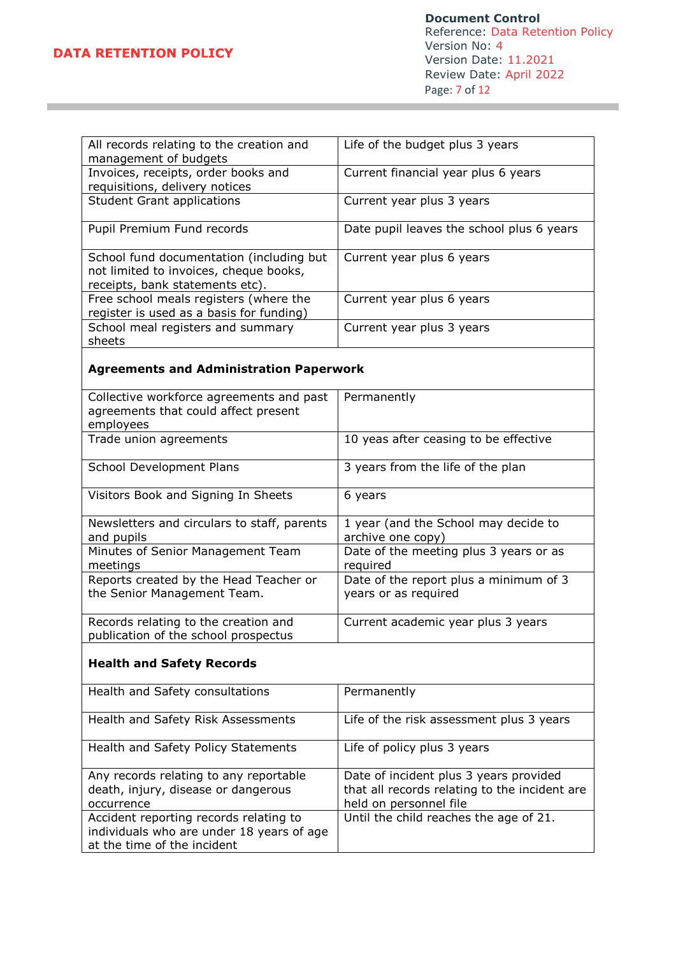| All records relating to the creation and | Life of the budget plus 3 years           |
|------------------------------------------|-------------------------------------------|
| management of budgets                    |                                           |
| Invoices, receipts, order books and      | Current financial year plus 6 years       |
| requisitions, delivery notices           |                                           |
| <b>Student Grant applications</b>        | Current year plus 3 years                 |
|                                          |                                           |
| Pupil Premium Fund records               | Date pupil leaves the school plus 6 years |
|                                          |                                           |
| School fund documentation (including but | Current year plus 6 years                 |
| not limited to invoices, cheque books,   |                                           |
| receipts, bank statements etc).          |                                           |
| Free school meals registers (where the   | Current year plus 6 years                 |
| register is used as a basis for funding) |                                           |
| School meal registers and summary        | Current year plus 3 years                 |
| sheets                                   |                                           |

# **Agreements and Administration Paperwork**

| Collective workforce agreements and past<br>agreements that could affect present<br>employees | Permanently                                                    |
|-----------------------------------------------------------------------------------------------|----------------------------------------------------------------|
| Trade union agreements                                                                        | 10 yeas after ceasing to be effective                          |
| School Development Plans                                                                      | 3 years from the life of the plan                              |
| Visitors Book and Signing In Sheets                                                           | 6 years                                                        |
| Newsletters and circulars to staff, parents<br>and pupils                                     | 1 year (and the School may decide to<br>archive one copy)      |
| Minutes of Senior Management Team<br>meetings                                                 | Date of the meeting plus 3 years or as<br>required             |
| Reports created by the Head Teacher or<br>the Senior Management Team.                         | Date of the report plus a minimum of 3<br>years or as required |
| Records relating to the creation and<br>publication of the school prospectus                  | Current academic year plus 3 years                             |

## **Health and Safety Records**

| Health and Safety consultations                                                                                    | Permanently                                                                                                       |
|--------------------------------------------------------------------------------------------------------------------|-------------------------------------------------------------------------------------------------------------------|
| Health and Safety Risk Assessments                                                                                 | Life of the risk assessment plus 3 years                                                                          |
| Health and Safety Policy Statements                                                                                | Life of policy plus 3 years                                                                                       |
| Any records relating to any reportable<br>death, injury, disease or dangerous<br>occurrence                        | Date of incident plus 3 years provided<br>that all records relating to the incident are<br>held on personnel file |
| Accident reporting records relating to<br>individuals who are under 18 years of age<br>at the time of the incident | Until the child reaches the age of 21.                                                                            |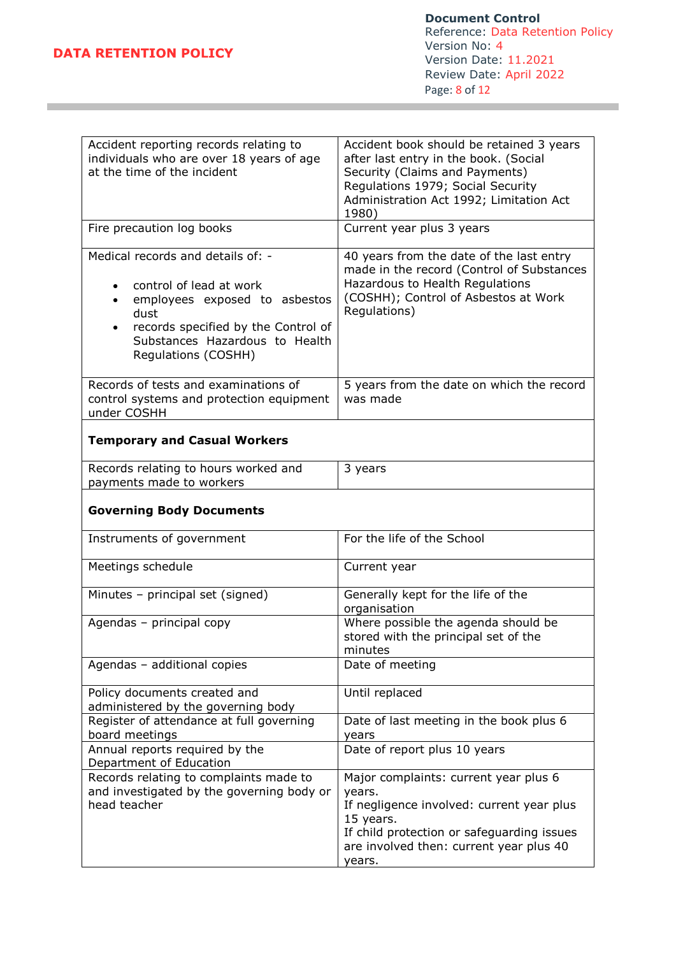**Document Control** Reference: Data Retention Policy Version No: 4 Version Date: 11.2021 Review Date: April 2022 Page: 8 of 12

| Accident reporting records relating to<br>individuals who are over 18 years of age<br>at the time of the incident                                                                                                                            | Accident book should be retained 3 years<br>after last entry in the book. (Social<br>Security (Claims and Payments)<br>Regulations 1979; Social Security<br>Administration Act 1992; Limitation Act<br>1980) |
|----------------------------------------------------------------------------------------------------------------------------------------------------------------------------------------------------------------------------------------------|--------------------------------------------------------------------------------------------------------------------------------------------------------------------------------------------------------------|
| Fire precaution log books                                                                                                                                                                                                                    | Current year plus 3 years                                                                                                                                                                                    |
| Medical records and details of: -<br>control of lead at work<br>$\bullet$<br>employees exposed to asbestos<br>$\bullet$<br>dust<br>records specified by the Control of<br>$\bullet$<br>Substances Hazardous to Health<br>Regulations (COSHH) | 40 years from the date of the last entry<br>made in the record (Control of Substances<br>Hazardous to Health Regulations<br>(COSHH); Control of Asbestos at Work<br>Regulations)                             |
| Records of tests and examinations of<br>control systems and protection equipment<br>under COSHH                                                                                                                                              | 5 years from the date on which the record<br>was made                                                                                                                                                        |
| <b>Temporary and Casual Workers</b>                                                                                                                                                                                                          |                                                                                                                                                                                                              |
| Records relating to hours worked and<br>payments made to workers                                                                                                                                                                             | 3 years                                                                                                                                                                                                      |
| <b>Governing Body Documents</b>                                                                                                                                                                                                              |                                                                                                                                                                                                              |
| Instruments of government                                                                                                                                                                                                                    | For the life of the School                                                                                                                                                                                   |
| Meetings schedule                                                                                                                                                                                                                            | Current year                                                                                                                                                                                                 |
| Minutes - principal set (signed)                                                                                                                                                                                                             | Generally kept for the life of the<br>organisation                                                                                                                                                           |
| Agendas - principal copy                                                                                                                                                                                                                     | Where possible the agenda should be<br>stored with the principal set of the<br>minutes                                                                                                                       |
| Agendas - additional copies                                                                                                                                                                                                                  | Date of meeting                                                                                                                                                                                              |
| Policy documents created and<br>administered by the governing body                                                                                                                                                                           | Until replaced                                                                                                                                                                                               |
| Register of attendance at full governing<br>board meetings                                                                                                                                                                                   | Date of last meeting in the book plus 6<br>years                                                                                                                                                             |
| Annual reports required by the<br>Department of Education                                                                                                                                                                                    | Date of report plus 10 years                                                                                                                                                                                 |
| Records relating to complaints made to<br>and investigated by the governing body or<br>head teacher                                                                                                                                          | Major complaints: current year plus 6<br>years.<br>If negligence involved: current year plus<br>15 years.<br>If child protection or safeguarding issues<br>are involved then: current year plus 40<br>years. |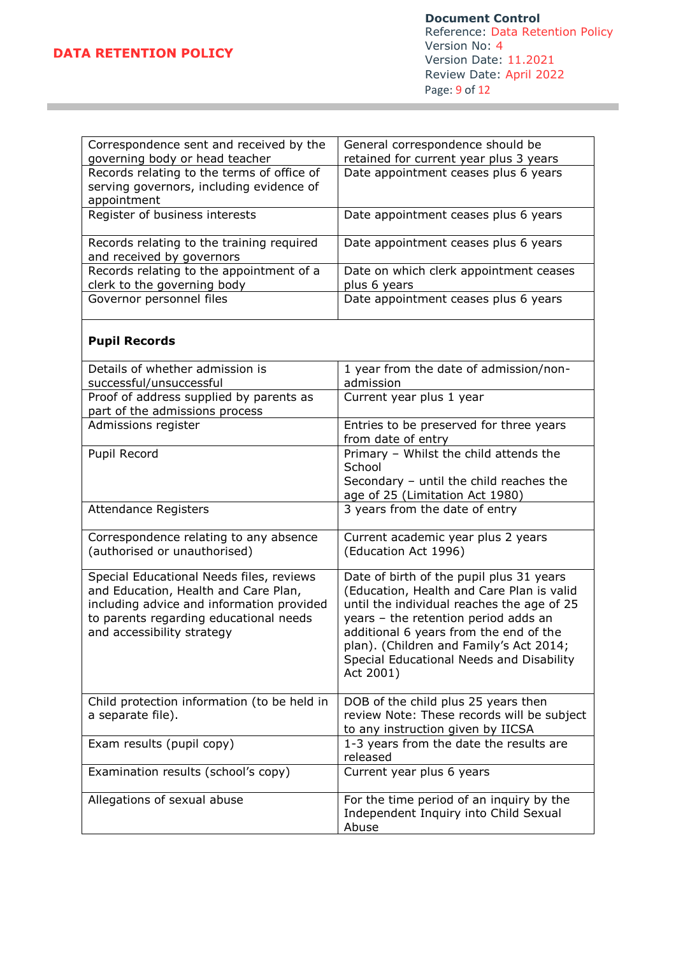| Correspondence sent and received by the                                          | General correspondence should be                                                      |
|----------------------------------------------------------------------------------|---------------------------------------------------------------------------------------|
| governing body or head teacher                                                   | retained for current year plus 3 years                                                |
| Records relating to the terms of office of                                       | Date appointment ceases plus 6 years                                                  |
| serving governors, including evidence of                                         |                                                                                       |
| appointment                                                                      |                                                                                       |
| Register of business interests                                                   | Date appointment ceases plus 6 years                                                  |
| Records relating to the training required<br>and received by governors           | Date appointment ceases plus 6 years                                                  |
| Records relating to the appointment of a                                         | Date on which clerk appointment ceases                                                |
| clerk to the governing body                                                      | plus 6 years                                                                          |
| Governor personnel files                                                         | Date appointment ceases plus 6 years                                                  |
| <b>Pupil Records</b>                                                             |                                                                                       |
| Details of whether admission is<br>successful/unsuccessful                       | 1 year from the date of admission/non-<br>admission                                   |
| Proof of address supplied by parents as                                          | Current year plus 1 year                                                              |
| part of the admissions process                                                   |                                                                                       |
| Admissions register                                                              | Entries to be preserved for three years<br>from date of entry                         |
| Pupil Record                                                                     | Primary - Whilst the child attends the<br>School                                      |
|                                                                                  | Secondary - until the child reaches the                                               |
|                                                                                  | age of 25 (Limitation Act 1980)                                                       |
| <b>Attendance Registers</b>                                                      | 3 years from the date of entry                                                        |
| Correspondence relating to any absence                                           | Current academic year plus 2 years                                                    |
| (authorised or unauthorised)                                                     | (Education Act 1996)                                                                  |
| Special Educational Needs files, reviews<br>and Education, Health and Care Plan, | Date of birth of the pupil plus 31 years<br>(Education, Health and Care Plan is valid |
| including advice and information provided                                        | until the individual reaches the age of 25                                            |
| to parents regarding educational needs                                           | years - the retention period adds an                                                  |
| and accessibility strategy                                                       | additional 6 years from the end of the                                                |

| Child protection information (to be held in<br>a separate file). | DOB of the child plus 25 years then<br>review Note: These records will be subject<br>to any instruction given by IICSA |
|------------------------------------------------------------------|------------------------------------------------------------------------------------------------------------------------|
| Exam results (pupil copy)                                        | 1-3 years from the date the results are<br>released                                                                    |
| Examination results (school's copy)                              | Current year plus 6 years                                                                                              |
| Allegations of sexual abuse                                      | For the time period of an inquiry by the<br>Independent Inquiry into Child Sexual<br>Abuse                             |

Act 2001)

plan). (Children and Family's Act 2014; Special Educational Needs and Disability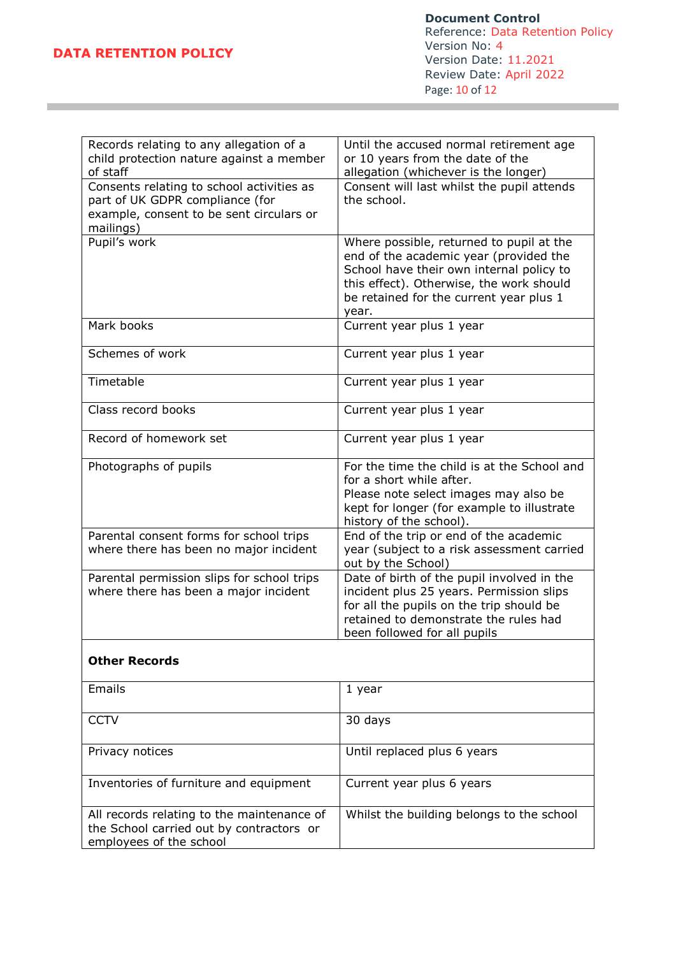**Document Control** Reference: Data Retention Policy Version No: 4 Version Date: 11.2021 Review Date: April 2022 Page: 10 of 12

| Records relating to any allegation of a                                                                           | Until the accused normal retirement age                                            |
|-------------------------------------------------------------------------------------------------------------------|------------------------------------------------------------------------------------|
| child protection nature against a member<br>of staff                                                              | or 10 years from the date of the<br>allegation (whichever is the longer)           |
| Consents relating to school activities as                                                                         | Consent will last whilst the pupil attends                                         |
| part of UK GDPR compliance (for                                                                                   | the school.                                                                        |
| example, consent to be sent circulars or                                                                          |                                                                                    |
| mailings)                                                                                                         |                                                                                    |
| Pupil's work                                                                                                      | Where possible, returned to pupil at the                                           |
|                                                                                                                   | end of the academic year (provided the<br>School have their own internal policy to |
|                                                                                                                   | this effect). Otherwise, the work should                                           |
|                                                                                                                   | be retained for the current year plus 1                                            |
|                                                                                                                   | year.                                                                              |
| Mark books                                                                                                        | Current year plus 1 year                                                           |
| Schemes of work                                                                                                   | Current year plus 1 year                                                           |
| Timetable                                                                                                         | Current year plus 1 year                                                           |
| Class record books                                                                                                | Current year plus 1 year                                                           |
| Record of homework set                                                                                            | Current year plus 1 year                                                           |
| Photographs of pupils                                                                                             | For the time the child is at the School and                                        |
|                                                                                                                   | for a short while after.                                                           |
|                                                                                                                   | Please note select images may also be                                              |
|                                                                                                                   | kept for longer (for example to illustrate<br>history of the school).              |
| Parental consent forms for school trips                                                                           | End of the trip or end of the academic                                             |
| where there has been no major incident                                                                            | year (subject to a risk assessment carried                                         |
|                                                                                                                   | out by the School)                                                                 |
| Parental permission slips for school trips                                                                        | Date of birth of the pupil involved in the                                         |
| where there has been a major incident                                                                             | incident plus 25 years. Permission slips                                           |
|                                                                                                                   | for all the pupils on the trip should be<br>retained to demonstrate the rules had  |
|                                                                                                                   | been followed for all pupils                                                       |
|                                                                                                                   |                                                                                    |
| <b>Other Records</b>                                                                                              |                                                                                    |
| Emails                                                                                                            | 1 year                                                                             |
| <b>CCTV</b>                                                                                                       | 30 days                                                                            |
| Privacy notices                                                                                                   | Until replaced plus 6 years                                                        |
| Inventories of furniture and equipment                                                                            | Current year plus 6 years                                                          |
| All records relating to the maintenance of<br>the School carried out by contractors or<br>employees of the school | Whilst the building belongs to the school                                          |